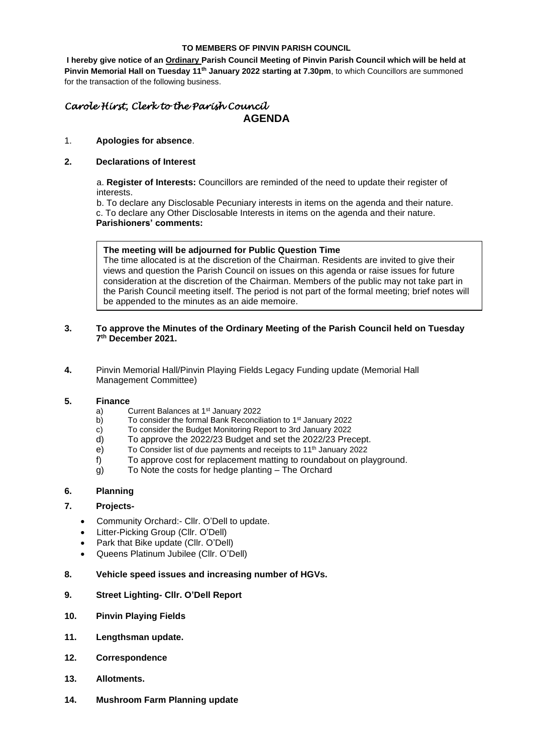#### **TO MEMBERS OF PINVIN PARISH COUNCIL**

**I hereby give notice of an Ordinary Parish Council Meeting of Pinvin Parish Council which will be held at Pinvin Memorial Hall on Tuesday 11th January 2022 starting at 7.30pm**, to which Councillors are summoned for the transaction of the following business.

# *Carole Hirst, Clerk to the Parish Council* **AGENDA**

## 1. **Apologies for absence**.

# **2. Declarations of Interest**

a. **Register of Interests:** Councillors are reminded of the need to update their register of interests.

b. To declare any Disclosable Pecuniary interests in items on the agenda and their nature. c. To declare any Other Disclosable Interests in items on the agenda and their nature.

#### **Parishioners' comments:**

## **The meeting will be adjourned for Public Question Time**

The time allocated is at the discretion of the Chairman. Residents are invited to give their views and question the Parish Council on issues on this agenda or raise issues for future consideration at the discretion of the Chairman. Members of the public may not take part in the Parish Council meeting itself. The period is not part of the formal meeting; brief notes will be appended to the minutes as an aide memoire.

# **3. To approve the Minutes of the Ordinary Meeting of the Parish Council held on Tuesday 7 th December 2021.**

**4.** Pinvin Memorial Hall/Pinvin Playing Fields Legacy Funding update (Memorial Hall Management Committee)

## **5. Finance**

- a) Current Balances at 1<sup>st</sup> January 2022
- b) To consider the formal Bank Reconciliation to 1<sup>st</sup> January 2022
- c) To consider the Budget Monitoring Report to 3rd January 2022
- d) To approve the 2022/23 Budget and set the 2022/23 Precept.
- e) To Consider list of due payments and receipts to 11<sup>th</sup> January 2022
- f) To approve cost for replacement matting to roundabout on playground.
- g) To Note the costs for hedge planting The Orchard

# **6. Planning**

# **7. Projects-**

- Community Orchard:- Cllr. O'Dell to update.
- Litter-Picking Group (Cllr. O'Dell)
- Park that Bike update (Cllr. O'Dell)
- Queens Platinum Jubilee (Cllr. O'Dell)

#### **8. Vehicle speed issues and increasing number of HGVs.**

#### **9. Street Lighting- Cllr. O'Dell Report**

- **10. Pinvin Playing Fields**
- **11. Lengthsman update.**
- **12. Correspondence**
- **13. Allotments.**
- **14. Mushroom Farm Planning update**